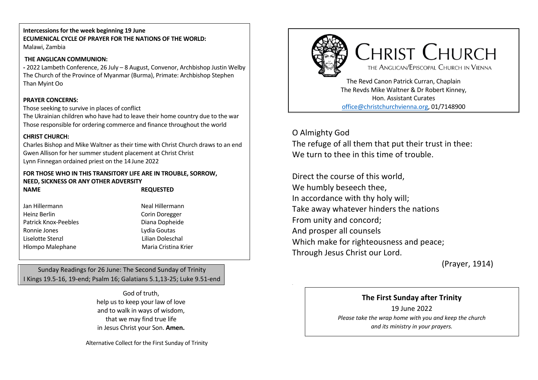#### **Intercessions for the week beginning 19 June ECUMENICAL CYCLE OF PRAYER FOR THE NATIONS OF THE WORLD:** Malawi, Zambia

## **THE ANGLICAN COMMUNION:**

**-** 2022 Lambeth Conference, 26 July – 8 August, Convenor, Archbishop Justin Welby The Church of the Province of Myanmar (Burma), Primate: Archbishop Stephen Than Myint Oo

#### **PRAYER CONCERNS:**

Those seeking to survive in places of conflict

The Ukrainian children who have had to leave their home country due to the war Those responsible for ordering commerce and finance throughout the world

#### **CHRIST CHURCH:**

Charles Bishop and Mike Waltner as their time with Christ Church draws to an end Gwen Allison for her summer student placement at Christ Christ Lynn Finnegan ordained priest on the 14 June 2022

**FOR THOSE WHO IN THIS TRANSITORY LIFE ARE IN TROUBLE, SORROW, NEED, SICKNESS OR ANY OTHER ADVERSITY NAME REQUESTED**

Jan Hillermann Neal Hillermann Heinz Berlin Corin Doregger Patrick Knox-Peebles **Diana Dopheide** Ronnie Jones **Lydia Goutas** Liselotte Stenzl Lilian Doleschal Hlompo Malephane Maria Cristina Krier

Sunday Readings for 26 June: The Second Sunday of Trinity I Kings 19.5-16, 19-end; Psalm 16; Galatians 5.1,13-25; Luke 9.51-end

> God of truth, help us to keep your law of love and to walk in ways of wisdom, that we may find true life in Jesus Christ your Son. **Amen.**

Alternative Collect for the First Sunday of Trinity



The Revds Mike Waltner & Dr Robert Kinney, Hon. Assistant Curates office@christchurchvienna.org, 01/7148900

O Almighty God The refuge of all them that put their trust in thee: We turn to thee in this time of trouble.

Direct the course of this world, We humbly beseech thee, In accordance with thy holy will; Take away whatever hinders the nations From unity and concord; And prosper all counsels Which make for righteousness and peace; Through Jesus Christ our Lord.

(Prayer, 1914)

## **The First Sunday after Trinity**

19 June 2022 *Please take the wrap home with you and keep the church and its ministry in your prayers.*